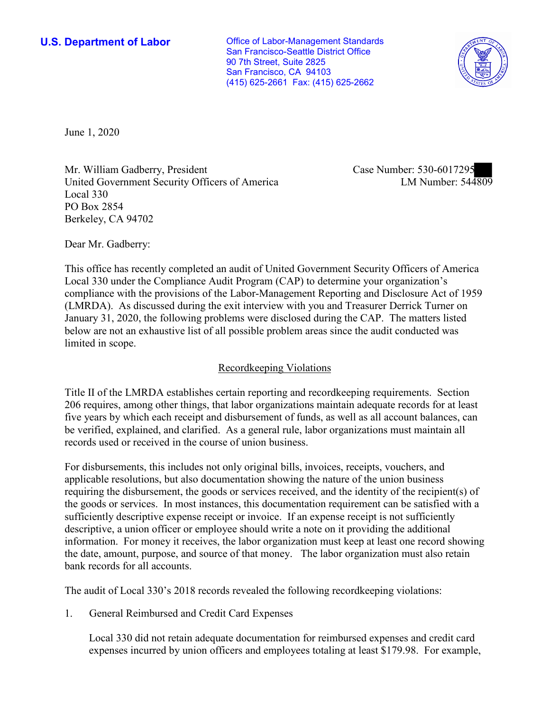**U.S. Department of Labor Conservative Conservative Conservative Conservative Conservative Conservative Conservative Conservative Conservative Conservative Conservative Conservative Conservative Conservative Conservative** San Francisco-Seattle District Office 90 7th Street, Suite 2825 San Francisco, CA 94103 (415) 625-2661 Fax: (415) 625-2662



June 1, 2020

Mr. William Gadberry, President United Government Security Officers of America Local 330 PO Box 2854 Berkeley, CA 94702

Case Number: 530-6017295<br>LM Number: 544809

Dear Mr. Gadberry:

 This office has recently completed an audit of United Government Security Officers of America Local 330 under the Compliance Audit Program (CAP) to determine your organization's compliance with the provisions of the Labor-Management Reporting and Disclosure Act of 1959 (LMRDA). As discussed during the exit interview with you and Treasurer Derrick Turner on January 31, 2020, the following problems were disclosed during the CAP. The matters listed below are not an exhaustive list of all possible problem areas since the audit conducted was limited in scope.

## Recordkeeping Violations

 Title II of the LMRDA establishes certain reporting and recordkeeping requirements. Section 206 requires, among other things, that labor organizations maintain adequate records for at least five years by which each receipt and disbursement of funds, as well as all account balances, can be verified, explained, and clarified. As a general rule, labor organizations must maintain all records used or received in the course of union business.

For disbursements, this includes not only original bills, invoices, receipts, vouchers, and applicable resolutions, but also documentation showing the nature of the union business requiring the disbursement, the goods or services received, and the identity of the recipient(s) of the goods or services. In most instances, this documentation requirement can be satisfied with a sufficiently descriptive expense receipt or invoice. If an expense receipt is not sufficiently descriptive, a union officer or employee should write a note on it providing the additional information. For money it receives, the labor organization must keep at least one record showing the date, amount, purpose, and source of that money. The labor organization must also retain bank records for all accounts.

The audit of Local 330's 2018 records revealed the following recordkeeping violations:

1. General Reimbursed and Credit Card Expenses

Local 330 did not retain adequate documentation for reimbursed expenses and credit card expenses incurred by union officers and employees totaling at least \$179.98. For example,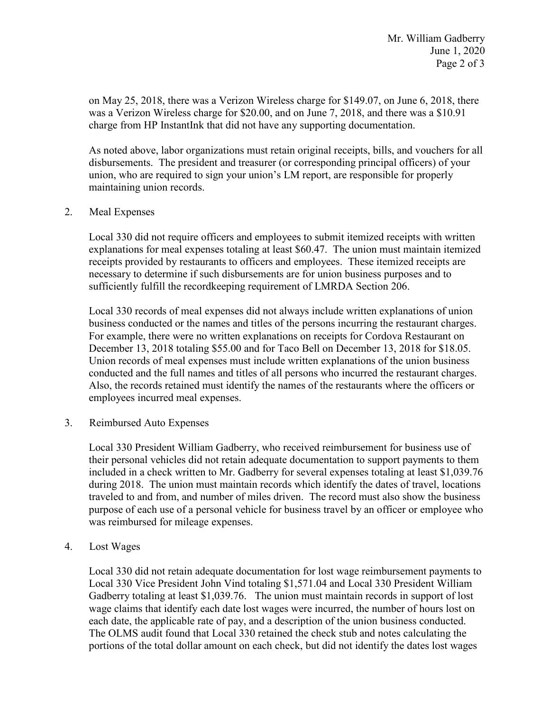was a Verizon Wireless charge for \$20.00, and on June 7, 2018, and there was a \$10.91 charge from HP InstantInk that did not have any supporting documentation. on May 25, 2018, there was a Verizon Wireless charge for \$149.07, on June 6, 2018, there

 disbursements. The president and treasurer (or corresponding principal officers) of your As noted above, labor organizations must retain original receipts, bills, and vouchers for all union, who are required to sign your union's LM report, are responsible for properly maintaining union records.

## 2. Meal Expenses

 sufficiently fulfill the recordkeeping requirement of LMRDA Section 206. Local 330 did not require officers and employees to submit itemized receipts with written explanations for meal expenses totaling at least \$60.47. The union must maintain itemized receipts provided by restaurants to officers and employees. These itemized receipts are necessary to determine if such disbursements are for union business purposes and to

conducted and the full names and titles of all persons who incurred the restaurant charges. Local 330 records of meal expenses did not always include written explanations of union business conducted or the names and titles of the persons incurring the restaurant charges. For example, there were no written explanations on receipts for Cordova Restaurant on December 13, 2018 totaling \$55.00 and for Taco Bell on December 13, 2018 for \$18.05. Union records of meal expenses must include written explanations of the union business Also, the records retained must identify the names of the restaurants where the officers or

employees incurred meal expenses. 3. Reimbursed Auto Expenses

Local 330 President William Gadberry, who received reimbursement for business use of their personal vehicles did not retain adequate documentation to support payments to them included in a check written to Mr. Gadberry for several expenses totaling at least \$[1,039.76](https://1,039.76)  during 2018. The union must maintain records which identify the dates of travel, locations traveled to and from, and number of miles driven. The record must also show the business purpose of each use of a personal vehicle for business travel by an officer or employee who was reimbursed for mileage expenses.

4. Lost Wages

Local 330 did not retain adequate documentation for lost wage reimbursement payments to Local 330 Vice President John Vind totaling \$[1,571.04](https://1,571.04) and Local 330 President William Gadberry totaling at least \$[1,039.76.](https://1,039.76) The union must maintain records in support of lost wage claims that identify each date lost wages were incurred, the number of hours lost on each date, the applicable rate of pay, and a description of the union business conducted. The OLMS audit found that Local 330 retained the check stub and notes calculating the portions of the total dollar amount on each check, but did not identify the dates lost wages